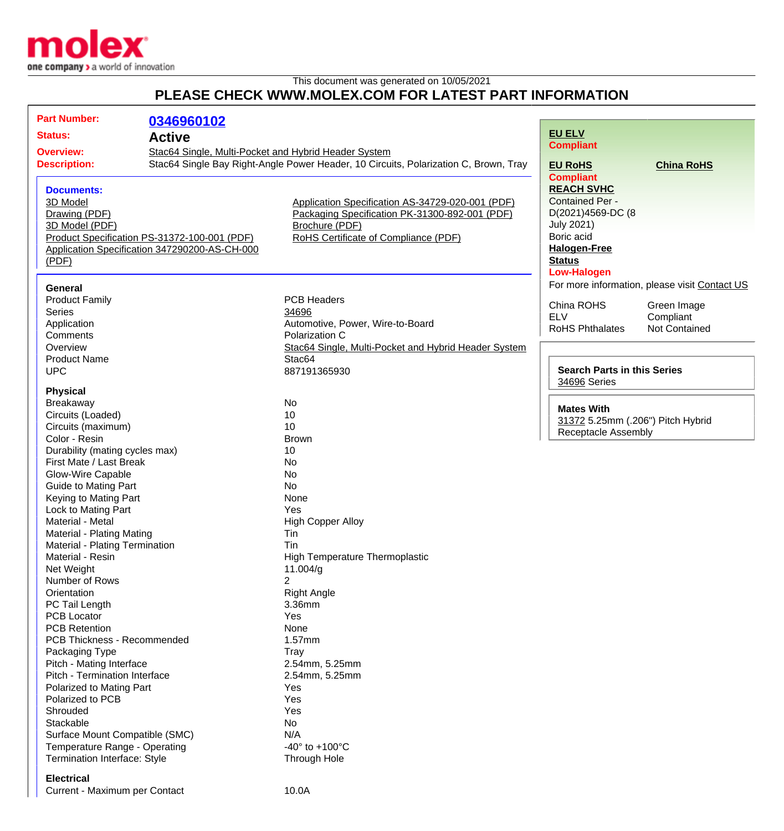

## This document was generated on 10/05/2021 **PLEASE CHECK WWW.MOLEX.COM FOR LATEST PART INFORMATION**

| <b>Part Number:</b>                                       | 0346960102                                           |                                                                                      |                                    |                                               |
|-----------------------------------------------------------|------------------------------------------------------|--------------------------------------------------------------------------------------|------------------------------------|-----------------------------------------------|
| <b>Status:</b>                                            |                                                      |                                                                                      | <b>EU ELV</b>                      |                                               |
| <b>Active</b>                                             |                                                      |                                                                                      | <b>Compliant</b>                   |                                               |
| <b>Overview:</b>                                          | Stac64 Single, Multi-Pocket and Hybrid Header System |                                                                                      |                                    |                                               |
| <b>Description:</b>                                       |                                                      | Stac64 Single Bay Right-Angle Power Header, 10 Circuits, Polarization C, Brown, Tray | <b>EU RoHS</b>                     | <b>China RoHS</b>                             |
|                                                           |                                                      |                                                                                      | <b>Compliant</b>                   |                                               |
| <b>Documents:</b>                                         |                                                      |                                                                                      | <b>REACH SVHC</b>                  |                                               |
| 3D Model                                                  |                                                      | Application Specification AS-34729-020-001 (PDF)                                     | <b>Contained Per -</b>             |                                               |
| Drawing (PDF)                                             |                                                      | Packaging Specification PK-31300-892-001 (PDF)                                       | D(2021)4569-DC (8                  |                                               |
| 3D Model (PDF)                                            |                                                      | Brochure (PDF)                                                                       | <b>July 2021)</b><br>Boric acid    |                                               |
| Product Specification PS-31372-100-001 (PDF)              |                                                      | RoHS Certificate of Compliance (PDF)                                                 | <b>Halogen-Free</b>                |                                               |
| Application Specification 347290200-AS-CH-000             |                                                      |                                                                                      | <b>Status</b>                      |                                               |
| (PDF)                                                     |                                                      |                                                                                      | <b>Low-Halogen</b>                 |                                               |
|                                                           |                                                      |                                                                                      |                                    | For more information, please visit Contact US |
| General                                                   |                                                      |                                                                                      |                                    |                                               |
| <b>Product Family</b>                                     |                                                      | <b>PCB Headers</b>                                                                   | China ROHS                         | Green Image                                   |
| <b>Series</b>                                             |                                                      | 34696                                                                                | <b>ELV</b>                         | Compliant                                     |
| Application                                               |                                                      | Automotive, Power, Wire-to-Board                                                     | <b>RoHS Phthalates</b>             | Not Contained                                 |
| Comments                                                  |                                                      | Polarization C                                                                       |                                    |                                               |
| Overview                                                  |                                                      | Stac64 Single, Multi-Pocket and Hybrid Header System                                 |                                    |                                               |
| <b>Product Name</b><br><b>UPC</b>                         |                                                      | Stac64                                                                               | <b>Search Parts in this Series</b> |                                               |
|                                                           |                                                      | 887191365930                                                                         | 34696 Series                       |                                               |
| <b>Physical</b>                                           |                                                      |                                                                                      |                                    |                                               |
| Breakaway                                                 |                                                      | No                                                                                   |                                    |                                               |
| Circuits (Loaded)                                         |                                                      | 10                                                                                   | <b>Mates With</b>                  |                                               |
| Circuits (maximum)                                        |                                                      | 10                                                                                   | 31372 5.25mm (.206") Pitch Hybrid  |                                               |
| Color - Resin                                             |                                                      | <b>Brown</b>                                                                         | <b>Receptacle Assembly</b>         |                                               |
| Durability (mating cycles max)                            |                                                      | 10                                                                                   |                                    |                                               |
| First Mate / Last Break                                   |                                                      | No                                                                                   |                                    |                                               |
| Glow-Wire Capable                                         |                                                      | No                                                                                   |                                    |                                               |
| <b>Guide to Mating Part</b>                               |                                                      | <b>No</b>                                                                            |                                    |                                               |
| Keying to Mating Part                                     |                                                      | None                                                                                 |                                    |                                               |
| Lock to Mating Part                                       |                                                      | Yes                                                                                  |                                    |                                               |
| Material - Metal                                          |                                                      | <b>High Copper Alloy</b>                                                             |                                    |                                               |
| Material - Plating Mating                                 |                                                      | Tin                                                                                  |                                    |                                               |
| Material - Plating Termination                            |                                                      | Tin                                                                                  |                                    |                                               |
| Material - Resin                                          |                                                      | <b>High Temperature Thermoplastic</b>                                                |                                    |                                               |
| Net Weight                                                |                                                      | 11.004/g                                                                             |                                    |                                               |
| Number of Rows                                            |                                                      | $\overline{2}$                                                                       |                                    |                                               |
| Orientation                                               |                                                      | <b>Right Angle</b>                                                                   |                                    |                                               |
| PC Tail Length                                            |                                                      | 3.36mm                                                                               |                                    |                                               |
| <b>PCB Locator</b>                                        |                                                      | Yes                                                                                  |                                    |                                               |
| <b>PCB Retention</b>                                      |                                                      | None                                                                                 |                                    |                                               |
| PCB Thickness - Recommended                               |                                                      | 1.57mm                                                                               |                                    |                                               |
| Packaging Type                                            |                                                      | <b>Tray</b><br>2.54mm, 5.25mm                                                        |                                    |                                               |
| Pitch - Mating Interface<br>Pitch - Termination Interface |                                                      | 2.54mm, 5.25mm                                                                       |                                    |                                               |
| Polarized to Mating Part                                  |                                                      | Yes                                                                                  |                                    |                                               |
| Polarized to PCB                                          |                                                      | Yes                                                                                  |                                    |                                               |
| Shrouded                                                  |                                                      | Yes                                                                                  |                                    |                                               |
| Stackable                                                 |                                                      | No                                                                                   |                                    |                                               |
| Surface Mount Compatible (SMC)                            |                                                      | N/A                                                                                  |                                    |                                               |
| Temperature Range - Operating                             |                                                      | -40 $\degree$ to +100 $\degree$ C                                                    |                                    |                                               |
| Termination Interface: Style                              |                                                      | Through Hole                                                                         |                                    |                                               |
| <b>Electrical</b>                                         |                                                      |                                                                                      |                                    |                                               |

Current - Maximum per Contact 10.0A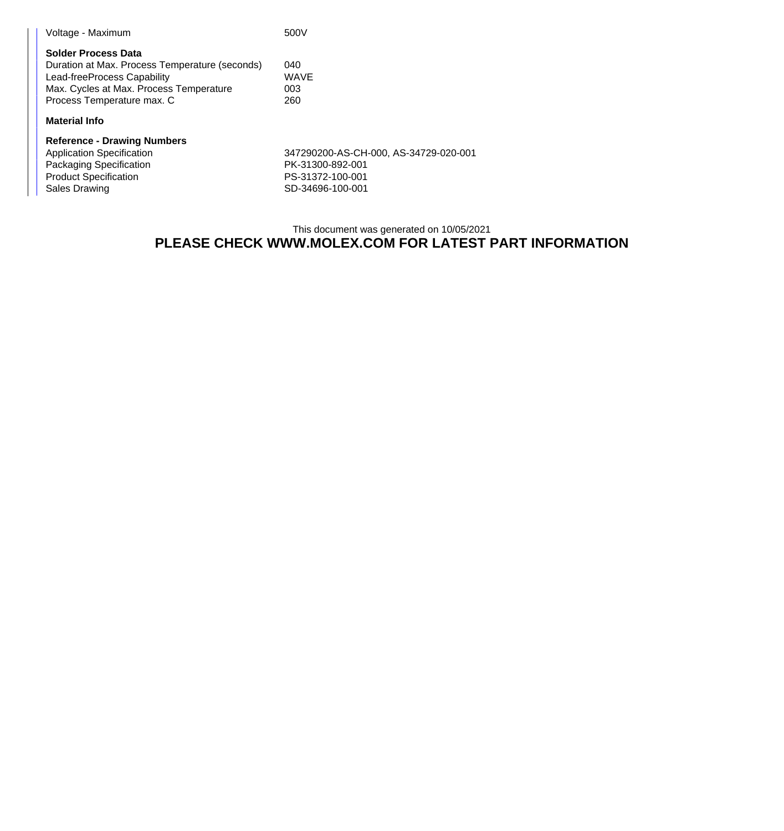| Voltage - Maximum                                                                                                                                                                    | 500V                      |
|--------------------------------------------------------------------------------------------------------------------------------------------------------------------------------------|---------------------------|
| <b>Solder Process Data</b><br>Duration at Max. Process Temperature (seconds)<br>Lead-freeProcess Capability<br>Max. Cycles at Max. Process Temperature<br>Process Temperature max. C | 040<br>WAVE<br>003<br>260 |
| <b>Material Info</b>                                                                                                                                                                 |                           |
| <b>Reference - Drawing Numbers</b><br>Application Specification                                                                                                                      | 347290200-AS-C            |

| Reference - Drawing Numbers  |                                       |
|------------------------------|---------------------------------------|
| Application Specification    | 347290200-AS-CH-000, AS-34729-020-001 |
| Packaging Specification      | PK-31300-892-001                      |
| <b>Product Specification</b> | PS-31372-100-001                      |
| Sales Drawing                | SD-34696-100-001                      |

## This document was generated on 10/05/2021 **PLEASE CHECK WWW.MOLEX.COM FOR LATEST PART INFORMATION**